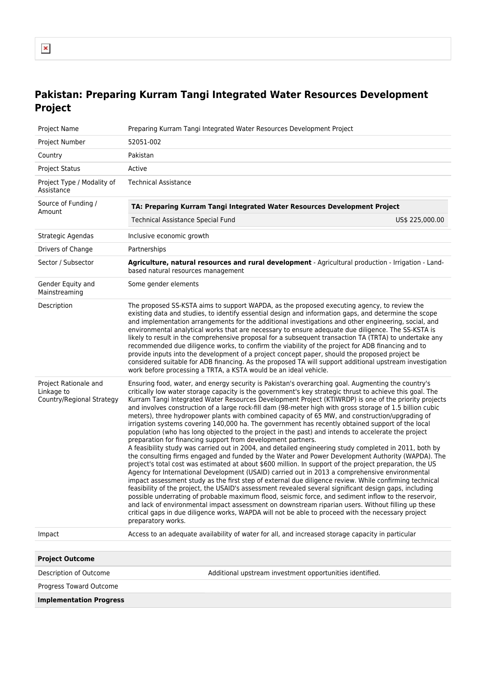## **Pakistan: Preparing Kurram Tangi Integrated Water Resources Development Project**

| Project Name                                                     | Preparing Kurram Tangi Integrated Water Resources Development Project                                                                                                                                                                                                                                                                                                                                                                                                                                                                                                                                                                                                                                                                                                                                                                                                                                                                                                                                                                                                                                                                                                                                                                                                                                                                                                                                                                                                                                                                                                                                                                                                                                                                                                                                          |
|------------------------------------------------------------------|----------------------------------------------------------------------------------------------------------------------------------------------------------------------------------------------------------------------------------------------------------------------------------------------------------------------------------------------------------------------------------------------------------------------------------------------------------------------------------------------------------------------------------------------------------------------------------------------------------------------------------------------------------------------------------------------------------------------------------------------------------------------------------------------------------------------------------------------------------------------------------------------------------------------------------------------------------------------------------------------------------------------------------------------------------------------------------------------------------------------------------------------------------------------------------------------------------------------------------------------------------------------------------------------------------------------------------------------------------------------------------------------------------------------------------------------------------------------------------------------------------------------------------------------------------------------------------------------------------------------------------------------------------------------------------------------------------------------------------------------------------------------------------------------------------------|
| Project Number                                                   | 52051-002                                                                                                                                                                                                                                                                                                                                                                                                                                                                                                                                                                                                                                                                                                                                                                                                                                                                                                                                                                                                                                                                                                                                                                                                                                                                                                                                                                                                                                                                                                                                                                                                                                                                                                                                                                                                      |
| Country                                                          | Pakistan                                                                                                                                                                                                                                                                                                                                                                                                                                                                                                                                                                                                                                                                                                                                                                                                                                                                                                                                                                                                                                                                                                                                                                                                                                                                                                                                                                                                                                                                                                                                                                                                                                                                                                                                                                                                       |
| <b>Project Status</b>                                            | Active                                                                                                                                                                                                                                                                                                                                                                                                                                                                                                                                                                                                                                                                                                                                                                                                                                                                                                                                                                                                                                                                                                                                                                                                                                                                                                                                                                                                                                                                                                                                                                                                                                                                                                                                                                                                         |
| Project Type / Modality of<br>Assistance                         | <b>Technical Assistance</b>                                                                                                                                                                                                                                                                                                                                                                                                                                                                                                                                                                                                                                                                                                                                                                                                                                                                                                                                                                                                                                                                                                                                                                                                                                                                                                                                                                                                                                                                                                                                                                                                                                                                                                                                                                                    |
| Source of Funding /<br>Amount                                    | TA: Preparing Kurram Tangi Integrated Water Resources Development Project                                                                                                                                                                                                                                                                                                                                                                                                                                                                                                                                                                                                                                                                                                                                                                                                                                                                                                                                                                                                                                                                                                                                                                                                                                                                                                                                                                                                                                                                                                                                                                                                                                                                                                                                      |
|                                                                  | <b>Technical Assistance Special Fund</b><br>US\$ 225,000.00                                                                                                                                                                                                                                                                                                                                                                                                                                                                                                                                                                                                                                                                                                                                                                                                                                                                                                                                                                                                                                                                                                                                                                                                                                                                                                                                                                                                                                                                                                                                                                                                                                                                                                                                                    |
| Strategic Agendas                                                | Inclusive economic growth                                                                                                                                                                                                                                                                                                                                                                                                                                                                                                                                                                                                                                                                                                                                                                                                                                                                                                                                                                                                                                                                                                                                                                                                                                                                                                                                                                                                                                                                                                                                                                                                                                                                                                                                                                                      |
| Drivers of Change                                                | Partnerships                                                                                                                                                                                                                                                                                                                                                                                                                                                                                                                                                                                                                                                                                                                                                                                                                                                                                                                                                                                                                                                                                                                                                                                                                                                                                                                                                                                                                                                                                                                                                                                                                                                                                                                                                                                                   |
| Sector / Subsector                                               | Agriculture, natural resources and rural development - Agricultural production - Irrigation - Land-<br>based natural resources management                                                                                                                                                                                                                                                                                                                                                                                                                                                                                                                                                                                                                                                                                                                                                                                                                                                                                                                                                                                                                                                                                                                                                                                                                                                                                                                                                                                                                                                                                                                                                                                                                                                                      |
| Gender Equity and<br>Mainstreaming                               | Some gender elements                                                                                                                                                                                                                                                                                                                                                                                                                                                                                                                                                                                                                                                                                                                                                                                                                                                                                                                                                                                                                                                                                                                                                                                                                                                                                                                                                                                                                                                                                                                                                                                                                                                                                                                                                                                           |
| Description                                                      | The proposed SS-KSTA aims to support WAPDA, as the proposed executing agency, to review the<br>existing data and studies, to identify essential design and information gaps, and determine the scope<br>and implementation arrangements for the additional investigations and other engineering, social, and<br>environmental analytical works that are necessary to ensure adequate due diligence. The SS-KSTA is<br>likely to result in the comprehensive proposal for a subsequent transaction TA (TRTA) to undertake any<br>recommended due diligence works, to confirm the viability of the project for ADB financing and to<br>provide inputs into the development of a project concept paper, should the proposed project be<br>considered suitable for ADB financing. As the proposed TA will support additional upstream investigation<br>work before processing a TRTA, a KSTA would be an ideal vehicle.                                                                                                                                                                                                                                                                                                                                                                                                                                                                                                                                                                                                                                                                                                                                                                                                                                                                                            |
| Project Rationale and<br>Linkage to<br>Country/Regional Strategy | Ensuring food, water, and energy security is Pakistan's overarching goal. Augmenting the country's<br>critically low water storage capacity is the government's key strategic thrust to achieve this goal. The<br>Kurram Tangi Integrated Water Resources Development Project (KTIWRDP) is one of the priority projects<br>and involves construction of a large rock-fill dam (98-meter high with gross storage of 1.5 billion cubic<br>meters), three hydropower plants with combined capacity of 65 MW, and construction/upgrading of<br>irrigation systems covering 140,000 ha. The government has recently obtained support of the local<br>population (who has long objected to the project in the past) and intends to accelerate the project<br>preparation for financing support from development partners.<br>A feasibility study was carried out in 2004, and detailed engineering study completed in 2011, both by<br>the consulting firms engaged and funded by the Water and Power Development Authority (WAPDA). The<br>project's total cost was estimated at about \$600 million. In support of the project preparation, the US<br>Agency for International Development (USAID) carried out in 2013 a comprehensive environmental<br>impact assessment study as the first step of external due diligence review. While confirming technical<br>feasibility of the project, the USAID's assessment revealed several significant design gaps, including<br>possible underrating of probable maximum flood, seismic force, and sediment inflow to the reservoir,<br>and lack of environmental impact assessment on downstream riparian users. Without filling up these<br>critical gaps in due diligence works, WAPDA will not be able to proceed with the necessary project<br>preparatory works. |
| Impact                                                           | Access to an adequate availability of water for all, and increased storage capacity in particular                                                                                                                                                                                                                                                                                                                                                                                                                                                                                                                                                                                                                                                                                                                                                                                                                                                                                                                                                                                                                                                                                                                                                                                                                                                                                                                                                                                                                                                                                                                                                                                                                                                                                                              |
|                                                                  |                                                                                                                                                                                                                                                                                                                                                                                                                                                                                                                                                                                                                                                                                                                                                                                                                                                                                                                                                                                                                                                                                                                                                                                                                                                                                                                                                                                                                                                                                                                                                                                                                                                                                                                                                                                                                |
| <b>Project Outcome</b>                                           |                                                                                                                                                                                                                                                                                                                                                                                                                                                                                                                                                                                                                                                                                                                                                                                                                                                                                                                                                                                                                                                                                                                                                                                                                                                                                                                                                                                                                                                                                                                                                                                                                                                                                                                                                                                                                |
| Description of Outcome                                           | Additional upstream investment opportunities identified.                                                                                                                                                                                                                                                                                                                                                                                                                                                                                                                                                                                                                                                                                                                                                                                                                                                                                                                                                                                                                                                                                                                                                                                                                                                                                                                                                                                                                                                                                                                                                                                                                                                                                                                                                       |
| Progress Toward Outcome                                          |                                                                                                                                                                                                                                                                                                                                                                                                                                                                                                                                                                                                                                                                                                                                                                                                                                                                                                                                                                                                                                                                                                                                                                                                                                                                                                                                                                                                                                                                                                                                                                                                                                                                                                                                                                                                                |
|                                                                  |                                                                                                                                                                                                                                                                                                                                                                                                                                                                                                                                                                                                                                                                                                                                                                                                                                                                                                                                                                                                                                                                                                                                                                                                                                                                                                                                                                                                                                                                                                                                                                                                                                                                                                                                                                                                                |

**Implementation Progress**